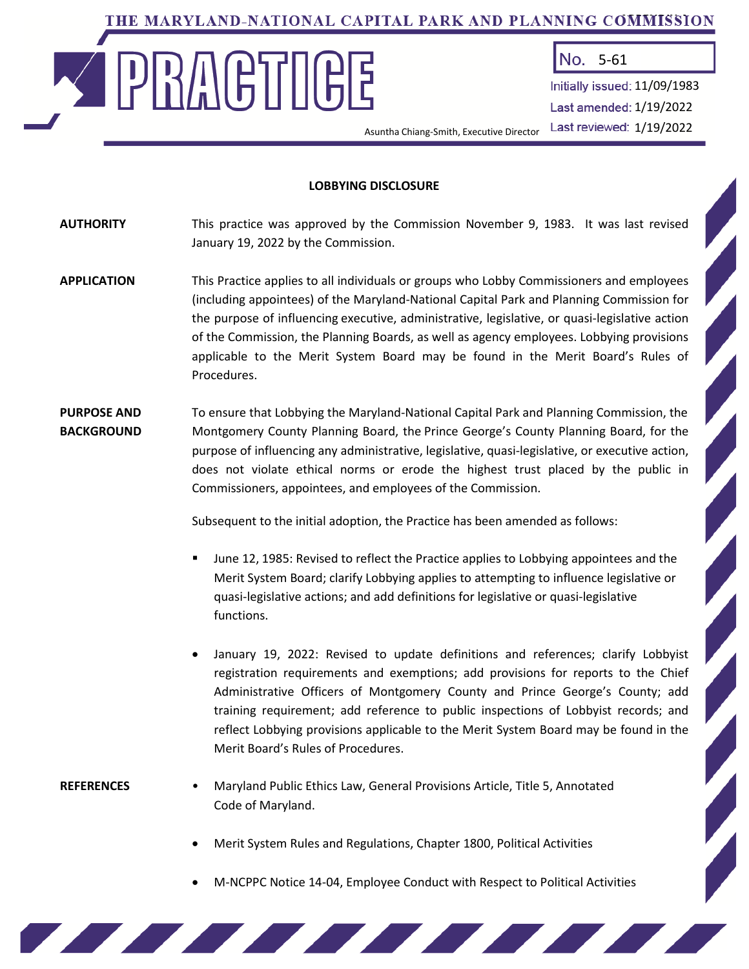# THE MARYLAND-NATIONAL CAPITAL PARK AND PLANNING COMMISSION

Asuntha Chiang-Smith, Executive Director



No. 5-61

Initially issued: 11/09/1983 Last amended: 1/19/2022 Last reviewed: 1/19/2022

#### **LOBBYING DISCLOSURE**

**AUTHORITY** This practice was approved by the Commission November 9, 1983. It was last revised January 19, 2022 by the Commission.

- **APPLICATION** This Practice applies to all individuals or groups who Lobby Commissioners and employees (including appointees) of the Maryland-National Capital Park and Planning Commission for the purpose of influencing executive, administrative, legislative, or quasi-legislative action of the Commission, the Planning Boards, as well as agency employees. Lobbying provisions applicable to the Merit System Board may be found in the Merit Board's Rules of Procedures.
- **PURPOSE AND** To ensure that Lobbying the Maryland-National Capital Park and Planning Commission, the **BACKGROUND** Montgomery County Planning Board, the Prince George's County Planning Board, for the purpose of influencing any administrative, legislative, quasi-legislative, or executive action, does not violate ethical norms or erode the highest trust placed by the public in Commissioners, appointees, and employees of the Commission.

Subsequent to the initial adoption, the Practice has been amended as follows:

- June 12, 1985: Revised to reflect the Practice applies to Lobbying appointees and the Merit System Board; clarify Lobbying applies to attempting to influence legislative or quasi-legislative actions; and add definitions for legislative or quasi-legislative functions.
- January 19, 2022: Revised to update definitions and references; clarify Lobbyist registration requirements and exemptions; add provisions for reports to the Chief Administrative Officers of Montgomery County and Prince George's County; add training requirement; add reference to public inspections of Lobbyist records; and reflect Lobbying provisions applicable to the Merit System Board may be found in the Merit Board's Rules of Procedures.

- **REFERENCES** Maryland Public Ethics Law, General Provisions Article, Title 5, Annotated Code of Maryland.
	- Merit System Rules and Regulations, Chapter 1800, Political Activities

<u> 1970 - Johann Stein, Amerikaansk kanton om de formanne fan de Fransk kanton om de formanne fan de formanne f</u>

• M-NCPPC Notice 14-04, Employee Conduct with Respect to Political Activities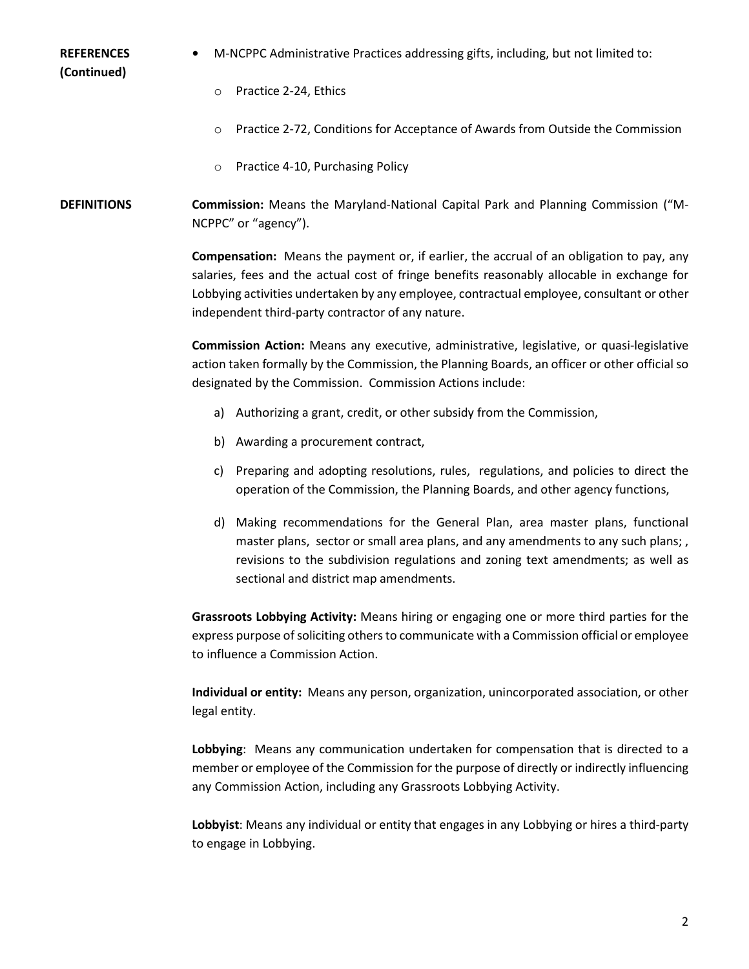**(Continued)**

- **REFERENCES •** M-NCPPC Administrative Practices addressing gifts, including, but not limited to:
	- o Practice 2-24, Ethics
	- o Practice 2-72, Conditions for Acceptance of Awards from Outside the Commission
	- o Practice 4-10, Purchasing Policy

**DEFINITIONS Commission:** Means the Maryland-National Capital Park and Planning Commission ("M-NCPPC" or "agency").

> **Compensation:** Means the payment or, if earlier, the accrual of an obligation to pay, any salaries, fees and the actual cost of fringe benefits reasonably allocable in exchange for Lobbying activities undertaken by any employee, contractual employee, consultant or other independent third-party contractor of any nature.

> **Commission Action:** Means any executive, administrative, legislative, or quasi-legislative action taken formally by the Commission, the Planning Boards, an officer or other official so designated by the Commission. Commission Actions include:

- a) Authorizing a grant, credit, or other subsidy from the Commission,
- b) Awarding a procurement contract,
- c) Preparing and adopting resolutions, rules, regulations, and policies to direct the operation of the Commission, the Planning Boards, and other agency functions,
- d) Making recommendations for the General Plan, area master plans, functional master plans, sector or small area plans, and any amendments to any such plans; , revisions to the subdivision regulations and zoning text amendments; as well as sectional and district map amendments.

**Grassroots Lobbying Activity:** Means hiring or engaging one or more third parties for the express purpose of soliciting others to communicate with a Commission official or employee to influence a Commission Action.

**Individual or entity:** Means any person, organization, unincorporated association, or other legal entity.

**Lobbying**: Means any communication undertaken for compensation that is directed to a member or employee of the Commission for the purpose of directly or indirectly influencing any Commission Action, including any Grassroots Lobbying Activity.

**Lobbyist**: Means any individual or entity that engages in any Lobbying or hires a third-party to engage in Lobbying.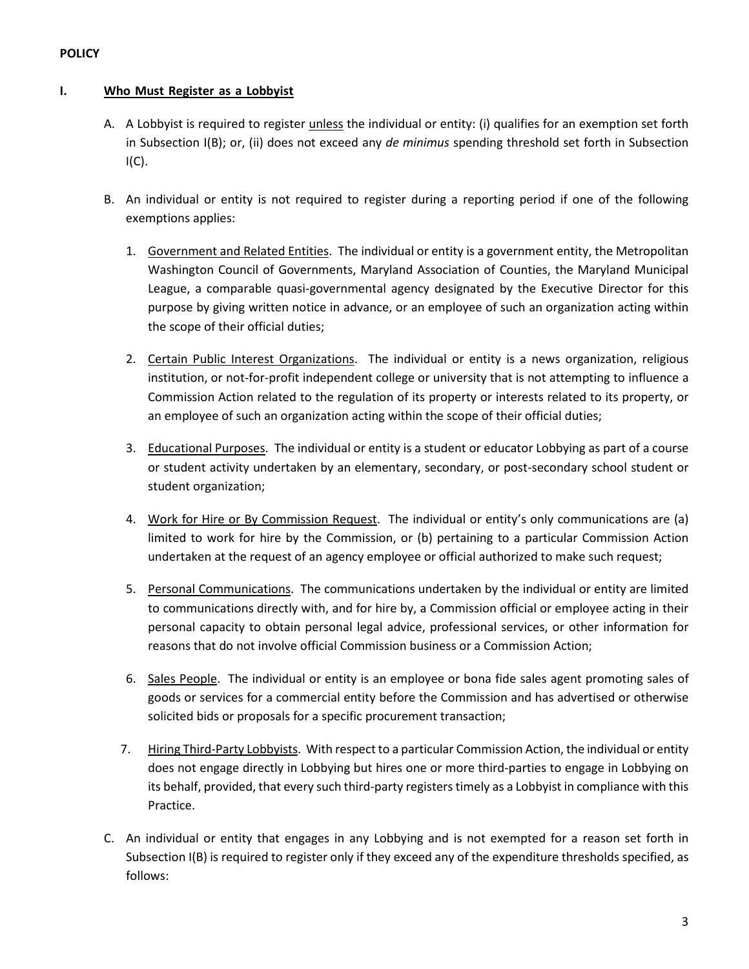## **POLICY**

### **I. Who Must Register as a Lobbyist**

- A. A Lobbyist is required to register unless the individual or entity: (i) qualifies for an exemption set forth in Subsection I(B); or, (ii) does not exceed any *de minimus* spending threshold set forth in Subsection  $I(C)$ .
- B. An individual or entity is not required to register during a reporting period if one of the following exemptions applies:
	- 1. Government and Related Entities. The individual or entity is a government entity, the Metropolitan Washington Council of Governments, Maryland Association of Counties, the Maryland Municipal League, a comparable quasi-governmental agency designated by the Executive Director for this purpose by giving written notice in advance, or an employee of such an organization acting within the scope of their official duties;
	- 2. Certain Public Interest Organizations. The individual or entity is a news organization, religious institution, or not-for-profit independent college or university that is not attempting to influence a Commission Action related to the regulation of its property or interests related to its property, or an employee of such an organization acting within the scope of their official duties;
	- 3. Educational Purposes. The individual or entity is a student or educator Lobbying as part of a course or student activity undertaken by an elementary, secondary, or post-secondary school student or student organization;
	- 4. Work for Hire or By Commission Request. The individual or entity's only communications are (a) limited to work for hire by the Commission, or (b) pertaining to a particular Commission Action undertaken at the request of an agency employee or official authorized to make such request;
	- 5. Personal Communications. The communications undertaken by the individual or entity are limited to communications directly with, and for hire by, a Commission official or employee acting in their personal capacity to obtain personal legal advice, professional services, or other information for reasons that do not involve official Commission business or a Commission Action;
	- 6. Sales People. The individual or entity is an employee or bona fide sales agent promoting sales of goods or services for a commercial entity before the Commission and has advertised or otherwise solicited bids or proposals for a specific procurement transaction;
	- 7. Hiring Third-Party Lobbyists. With respect to a particular Commission Action, the individual or entity does not engage directly in Lobbying but hires one or more third-parties to engage in Lobbying on its behalf, provided, that every such third-party registers timely as a Lobbyist in compliance with this Practice.
- C. An individual or entity that engages in any Lobbying and is not exempted for a reason set forth in Subsection I(B) is required to register only if they exceed any of the expenditure thresholds specified, as follows: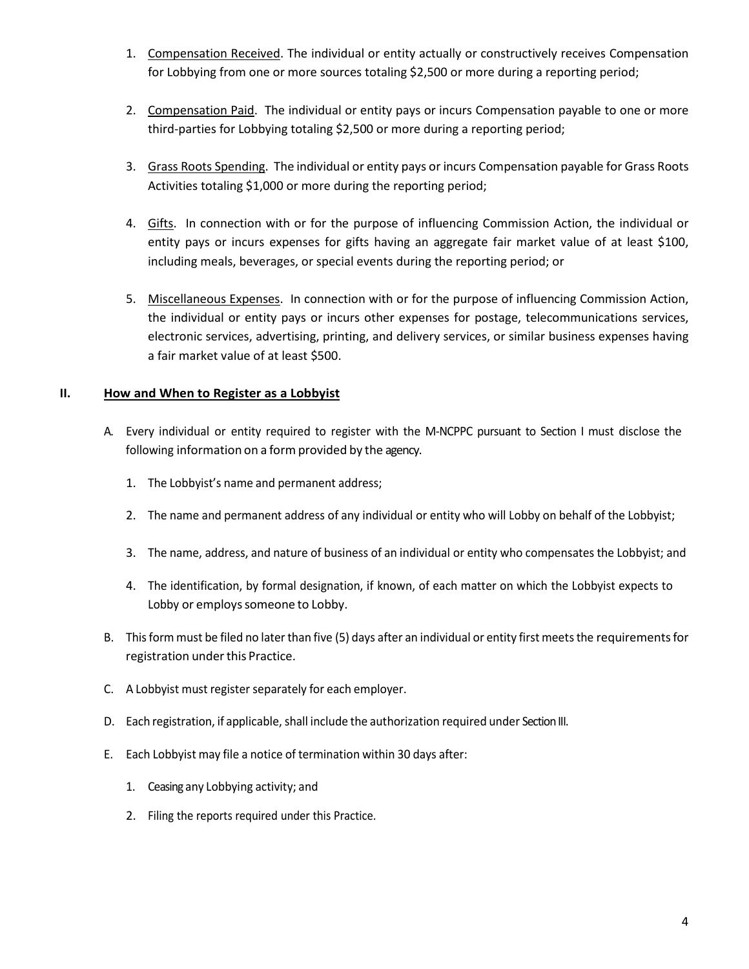- 1. Compensation Received. The individual or entity actually or constructively receives Compensation for Lobbying from one or more sources totaling \$2,500 or more during a reporting period;
- 2. Compensation Paid. The individual or entity pays or incurs Compensation payable to one or more third-parties for Lobbying totaling \$2,500 or more during a reporting period;
- 3. Grass Roots Spending. The individual or entity pays or incurs Compensation payable for Grass Roots Activities totaling \$1,000 or more during the reporting period;
- 4. Gifts. In connection with or for the purpose of influencing Commission Action, the individual or entity pays or incurs expenses for gifts having an aggregate fair market value of at least \$100, including meals, beverages, or special events during the reporting period; or
- 5. Miscellaneous Expenses. In connection with or for the purpose of influencing Commission Action, the individual or entity pays or incurs other expenses for postage, telecommunications services, electronic services, advertising, printing, and delivery services, or similar business expenses having a fair market value of at least \$500.

### **II. How and When to Register as a Lobbyist**

- A. Every individual or entity required to register with the M-NCPPC pursuant to Section I must disclose the following information on a form provided by the agency.
	- 1. The Lobbyist's name and permanent address;
	- 2. The name and permanent address of any individual or entity who will Lobby on behalf of the Lobbyist;
	- 3. The name, address, and nature of business of an individual or entity who compensates the Lobbyist; and
	- 4. The identification, by formal designation, if known, of each matter on which the Lobbyist expects to Lobby or employs someone to Lobby.
- B. This form must be filed no later than five (5) days after an individual or entity first meets the requirements for registration under this Practice.
- C. A Lobbyist must register separately for each employer.
- D. Each registration, if applicable, shall include the authorization required under Section III.
- E. Each Lobbyist may file a notice of termination within 30 days after:
	- 1. Ceasing any Lobbying activity; and
	- 2. Filing the reports required under this Practice.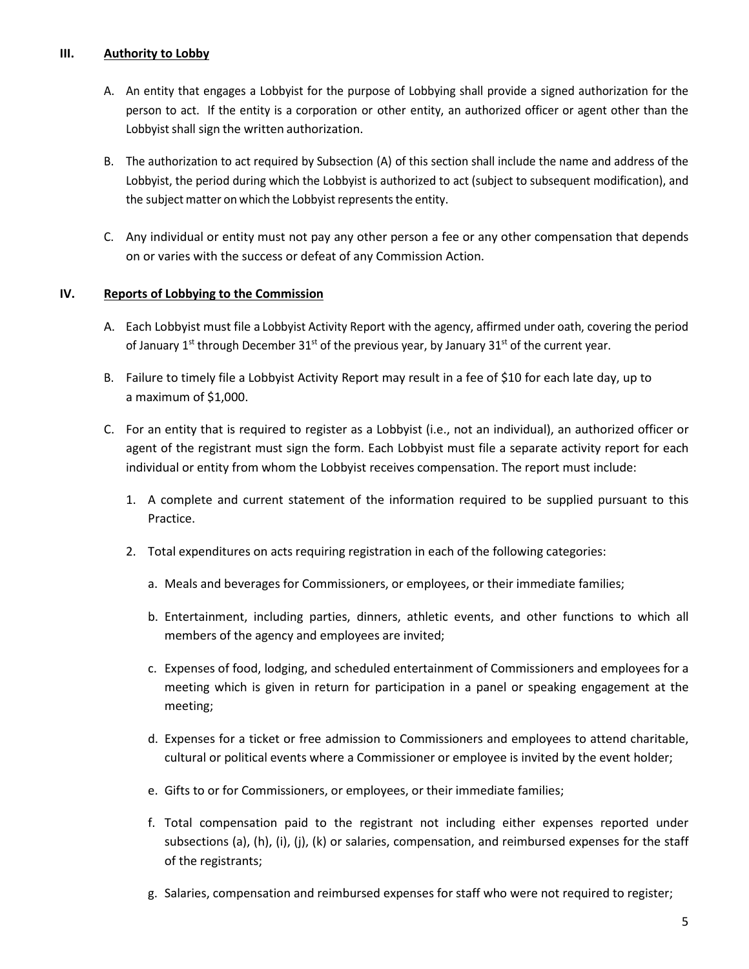## **III. Authority to Lobby**

- A. An entity that engages a Lobbyist for the purpose of Lobbying shall provide a signed authorization for the person to act. If the entity is a corporation or other entity, an authorized officer or agent other than the Lobbyist shall sign the written authorization.
- B. The authorization to act required by Subsection (A) of this section shall include the name and address of the Lobbyist, the period during which the Lobbyist is authorized to act (subject to subsequent modification), and the subject matter on which the Lobbyist represents the entity.
- C. Any individual or entity must not pay any other person a fee or any other compensation that depends on or varies with the success or defeat of any Commission Action.

### **IV. Reports of Lobbying to the Commission**

- A. Each Lobbyist must file a Lobbyist Activity Report with the agency, affirmed under oath, covering the period of January 1<sup>st</sup> through December 31<sup>st</sup> of the previous year, by January 31<sup>st</sup> of the current year.
- B. Failure to timely file a Lobbyist Activity Report may result in a fee of \$10 for each late day, up to a maximum of \$1,000.
- C. For an entity that is required to register as a Lobbyist (i.e., not an individual), an authorized officer or agent of the registrant must sign the form. Each Lobbyist must file a separate activity report for each individual or entity from whom the Lobbyist receives compensation. The report must include:
	- 1. A complete and current statement of the information required to be supplied pursuant to this Practice.
	- 2. Total expenditures on acts requiring registration in each of the following categories:
		- a. Meals and beverages for Commissioners, or employees, or their immediate families;
		- b. Entertainment, including parties, dinners, athletic events, and other functions to which all members of the agency and employees are invited;
		- c. Expenses of food, lodging, and scheduled entertainment of Commissioners and employees for a meeting which is given in return for participation in a panel or speaking engagement at the meeting;
		- d. Expenses for a ticket or free admission to Commissioners and employees to attend charitable, cultural or political events where a Commissioner or employee is invited by the event holder;
		- e. Gifts to or for Commissioners, or employees, or their immediate families;
		- f. Total compensation paid to the registrant not including either expenses reported under subsections (a), (h), (i), (j), (k) or salaries, compensation, and reimbursed expenses for the staff of the registrants;
		- g. Salaries, compensation and reimbursed expenses for staff who were not required to register;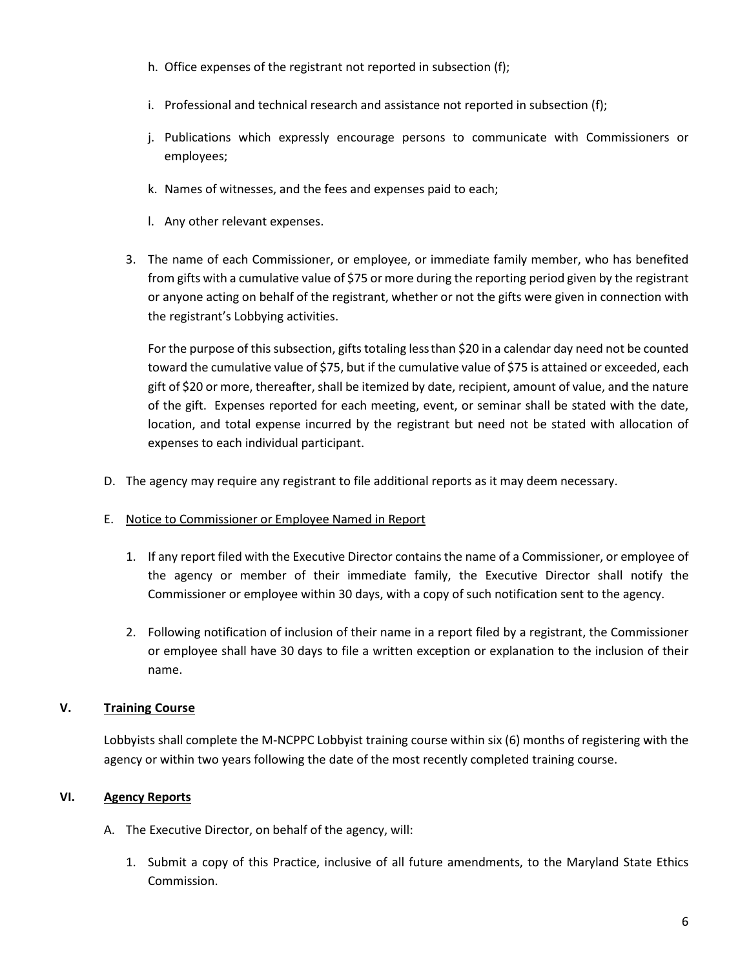- h. Office expenses of the registrant not reported in subsection (f);
- i. Professional and technical research and assistance not reported in subsection (f);
- j. Publications which expressly encourage persons to communicate with Commissioners or employees;
- k. Names of witnesses, and the fees and expenses paid to each;
- l. Any other relevant expenses.
- 3. The name of each Commissioner, or employee, or immediate family member, who has benefited from gifts with a cumulative value of \$75 or more during the reporting period given by the registrant or anyone acting on behalf of the registrant, whether or not the gifts were given in connection with the registrant's Lobbying activities.

For the purpose of this subsection, gifts totaling lessthan \$20 in a calendar day need not be counted toward the cumulative value of \$75, but if the cumulative value of \$75 is attained or exceeded, each gift of \$20 or more, thereafter, shall be itemized by date, recipient, amount of value, and the nature of the gift. Expenses reported for each meeting, event, or seminar shall be stated with the date, location, and total expense incurred by the registrant but need not be stated with allocation of expenses to each individual participant.

- D. The agency may require any registrant to file additional reports as it may deem necessary.
- E. Notice to Commissioner or Employee Named in Report
	- 1. If any report filed with the Executive Director contains the name of a Commissioner, or employee of the agency or member of their immediate family, the Executive Director shall notify the Commissioner or employee within 30 days, with a copy of such notification sent to the agency.
	- 2. Following notification of inclusion of their name in a report filed by a registrant, the Commissioner or employee shall have 30 days to file a written exception or explanation to the inclusion of their name.

## **V. Training Course**

Lobbyists shall complete the M-NCPPC Lobbyist training course within six (6) months of registering with the agency or within two years following the date of the most recently completed training course.

## **VI. Agency Reports**

- A. The Executive Director, on behalf of the agency, will:
	- 1. Submit a copy of this Practice, inclusive of all future amendments, to the Maryland State Ethics Commission.